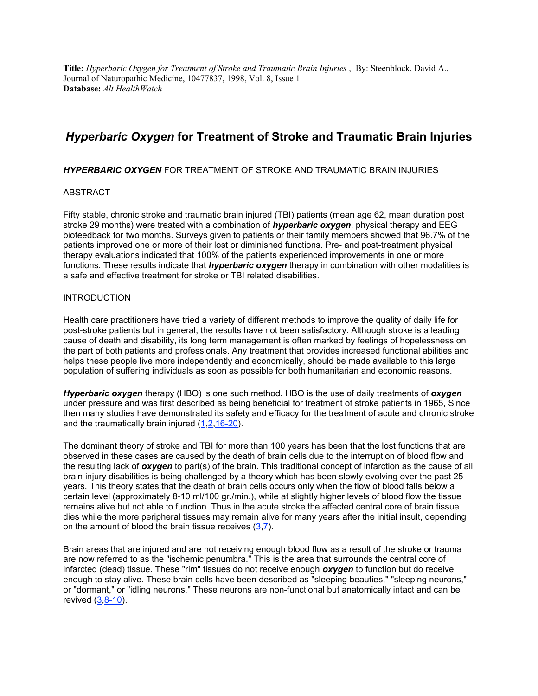**Title:** *Hyperbaric Oxygen for Treatment of Stroke and Traumatic Brain Injuries* , By: Steenblock, David A., Journal of Naturopathic Medicine, 10477837, 1998, Vol. 8, Issue 1 **Database:** *Alt HealthWatch*

# *Hyperbaric Oxygen* **for Treatment of Stroke and Traumatic Brain Injuries**

#### *HYPERBARIC OXYGEN* FOR TREATMENT OF STROKE AND TRAUMATIC BRAIN INJURIES

#### ABSTRACT

Fifty stable, chronic stroke and traumatic brain injured (TBI) patients (mean age 62, mean duration post stroke 29 months) were treated with a combination of *hyperbaric oxygen*, physical therapy and EEG biofeedback for two months. Surveys given to patients or their family members showed that 96.7% of the patients improved one or more of their lost or diminished functions. Pre- and post-treatment physical therapy evaluations indicated that 100% of the patients experienced improvements in one or more functions. These results indicate that *hyperbaric oxygen* therapy in combination with other modalities is a safe and effective treatment for stroke or TBI related disabilities.

#### **INTRODUCTION**

Health care practitioners have tried a variety of different methods to improve the quality of daily life for post-stroke patients but in general, the results have not been satisfactory. Although stroke is a leading cause of death and disability, its long term management is often marked by feelings of hopelessness on the part of both patients and professionals. Any treatment that provides increased functional abilities and helps these people live more independently and economically, should be made available to this large population of suffering individuals as soon as possible for both humanitarian and economic reasons.

*Hyperbaric oxygen* therapy (HBO) is one such method. HBO is the use of daily treatments of *oxygen* under pressure and was first described as being beneficial for treatment of stroke patients in 1965, Since then many studies have demonstrated its safety and efficacy for the treatment of acute and chronic stroke and the traumatically brain injured  $(1,2,16-20)$ .

The dominant theory of stroke and TBI for more than 100 years has been that the lost functions that are observed in these cases are caused by the death of brain cells due to the interruption of blood flow and the resulting lack of *oxygen* to part(s) of the brain. This traditional concept of infarction as the cause of all brain injury disabilities is being challenged by a theory which has been slowly evolving over the past 25 years. This theory states that the death of brain cells occurs only when the flow of blood falls below a certain level (approximately 8-10 ml/100 gr./min.), while at slightly higher levels of blood flow the tissue remains alive but not able to function. Thus in the acute stroke the affected central core of brain tissue dies while the more peripheral tissues may remain alive for many years after the initial insult, depending on the amount of blood the brain tissue receives  $(3,7)$ .

Brain areas that are injured and are not receiving enough blood flow as a result of the stroke or trauma are now referred to as the "ischemic penumbra." This is the area that surrounds the central core of infarcted (dead) tissue. These "rim" tissues do not receive enough *oxygen* to function but do receive enough to stay alive. These brain cells have been described as "sleeping beauties," "sleeping neurons," or "dormant," or "idling neurons." These neurons are non-functional but anatomically intact and can be revived  $(3,8-10)$ .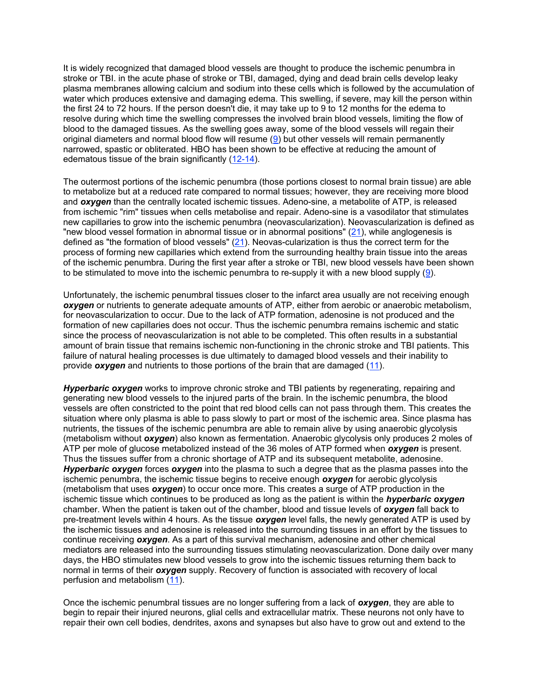It is widely recognized that damaged blood vessels are thought to produce the ischemic penumbra in stroke or TBI. in the acute phase of stroke or TBI, damaged, dying and dead brain cells develop leaky plasma membranes allowing calcium and sodium into these cells which is followed by the accumulation of water which produces extensive and damaging edema. This swelling, if severe, may kill the person within the first 24 to 72 hours. If the person doesn't die, it may take up to 9 to 12 months for the edema to resolve during which time the swelling compresses the involved brain blood vessels, limiting the flow of blood to the damaged tissues. As the swelling goes away, some of the blood vessels will regain their original diameters and normal blood flow will resume  $(9)$  but other vessels will remain permanently narrowed, spastic or obliterated. HBO has been shown to be effective at reducing the amount of edematous tissue of the brain significantly (12-14).

The outermost portions of the ischemic penumbra (those portions closest to normal brain tissue) are able to metabolize but at a reduced rate compared to normal tissues; however, they are receiving more blood and *oxygen* than the centrally located ischemic tissues. Adeno-sine, a metabolite of ATP, is released from ischemic "rim" tissues when cells metabolise and repair. Adeno-sine is a vasodilator that stimulates new capillaries to grow into the ischemic penumbra (neovascularization). Neovascularization is defined as "new blood vessel formation in abnormal tissue or in abnormal positions"  $(21)$ , while anglogenesis is defined as "the formation of blood vessels"  $(21)$ . Neovas-cularization is thus the correct term for the process of forming new capillaries which extend from the surrounding healthy brain tissue into the areas of the ischemic penumbra. During the first year after a stroke or TBI, new blood vessels have been shown to be stimulated to move into the ischemic penumbra to re-supply it with a new blood supply (9).

Unfortunately, the ischemic penumbral tissues closer to the infarct area usually are not receiving enough *oxygen* or nutrients to generate adequate amounts of ATP, either from aerobic or anaerobic metabolism, for neovascularization to occur. Due to the lack of ATP formation, adenosine is not produced and the formation of new capillaries does not occur. Thus the ischemic penumbra remains ischemic and static since the process of neovascularization is not able to be completed. This often results in a substantial amount of brain tissue that remains ischemic non-functioning in the chronic stroke and TBI patients. This failure of natural healing processes is due ultimately to damaged blood vessels and their inability to provide *oxygen* and nutrients to those portions of the brain that are damaged (11).

*Hyperbaric oxygen* works to improve chronic stroke and TBI patients by regenerating, repairing and generating new blood vessels to the injured parts of the brain. In the ischemic penumbra, the blood vessels are often constricted to the point that red blood cells can not pass through them. This creates the situation where only plasma is able to pass slowly to part or most of the ischemic area. Since plasma has nutrients, the tissues of the ischemic penumbra are able to remain alive by using anaerobic glycolysis (metabolism without *oxygen*) also known as fermentation. Anaerobic glycolysis only produces 2 moles of ATP per mole of glucose metabolized instead of the 36 moles of ATP formed when *oxygen* is present. Thus the tissues suffer from a chronic shortage of ATP and its subsequent metabolite, adenosine. *Hyperbaric oxygen* forces *oxygen* into the plasma to such a degree that as the plasma passes into the ischemic penumbra, the ischemic tissue begins to receive enough *oxygen* for aerobic glycolysis (metabolism that uses *oxygen*) to occur once more. This creates a surge of ATP production in the ischemic tissue which continues to be produced as long as the patient is within the *hyperbaric oxygen* chamber. When the patient is taken out of the chamber, blood and tissue levels of *oxygen* fall back to pre-treatment levels within 4 hours. As the tissue *oxygen* level falls, the newly generated ATP is used by the ischemic tissues and adenosine is released into the surrounding tissues in an effort by the tissues to continue receiving *oxygen*. As a part of this survival mechanism, adenosine and other chemical mediators are released into the surrounding tissues stimulating neovascularization. Done daily over many days, the HBO stimulates new blood vessels to grow into the ischemic tissues returning them back to normal in terms of their *oxygen* supply. Recovery of function is associated with recovery of local perfusion and metabolism (11).

Once the ischemic penumbral tissues are no longer suffering from a lack of *oxygen*, they are able to begin to repair their injured neurons, glial cells and extracellular matrix. These neurons not only have to repair their own cell bodies, dendrites, axons and synapses but also have to grow out and extend to the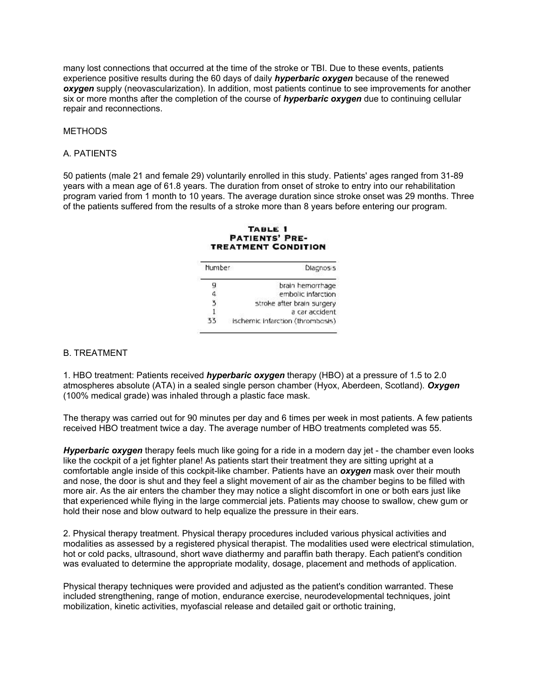many lost connections that occurred at the time of the stroke or TBI. Due to these events, patients experience positive results during the 60 days of daily *hyperbaric oxygen* because of the renewed *oxygen* supply (neovascularization). In addition, most patients continue to see improvements for another six or more months after the completion of the course of *hyperbaric oxygen* due to continuing cellular repair and reconnections.

#### METHODS

#### A. PATIENTS

50 patients (male 21 and female 29) voluntarily enrolled in this study. Patients' ages ranged from 31-89 years with a mean age of 61.8 years. The duration from onset of stroke to entry into our rehabilitation program varied from 1 month to 10 years. The average duration since stroke onset was 29 months. Three of the patients suffered from the results of a stroke more than 8 years before entering our program.

#### TABLE 1 **PATIENTS' PRE-TREATMENT CONDITION**

| <b>Number</b> | <b>Diagnosis</b>                 |
|---------------|----------------------------------|
| g             | brain hemorrhage                 |
|               | embolic infarction               |
|               | stroke after brain surgery       |
|               | a car accident                   |
| रर            | ischemic infarction (thrombosis) |

#### B. TREATMENT

1. HBO treatment: Patients received *hyperbaric oxygen* therapy (HBO) at a pressure of 1.5 to 2.0 atmospheres absolute (ATA) in a sealed single person chamber (Hyox, Aberdeen, Scotland). *Oxygen* (100% medical grade) was inhaled through a plastic face mask.

The therapy was carried out for 90 minutes per day and 6 times per week in most patients. A few patients received HBO treatment twice a day. The average number of HBO treatments completed was 55.

*Hyperbaric oxygen* therapy feels much like going for a ride in a modern day jet - the chamber even looks like the cockpit of a jet fighter plane! As patients start their treatment they are sitting upright at a comfortable angle inside of this cockpit-like chamber. Patients have an *oxygen* mask over their mouth and nose, the door is shut and they feel a slight movement of air as the chamber begins to be filled with more air. As the air enters the chamber they may notice a slight discomfort in one or both ears just like that experienced while flying in the large commercial jets. Patients may choose to swallow, chew gum or hold their nose and blow outward to help equalize the pressure in their ears.

2. Physical therapy treatment. Physical therapy procedures included various physical activities and modalities as assessed by a registered physical therapist. The modalities used were electrical stimulation, hot or cold packs, ultrasound, short wave diathermy and paraffin bath therapy. Each patient's condition was evaluated to determine the appropriate modality, dosage, placement and methods of application.

Physical therapy techniques were provided and adjusted as the patient's condition warranted. These included strengthening, range of motion, endurance exercise, neurodevelopmental techniques, joint mobilization, kinetic activities, myofascial release and detailed gait or orthotic training,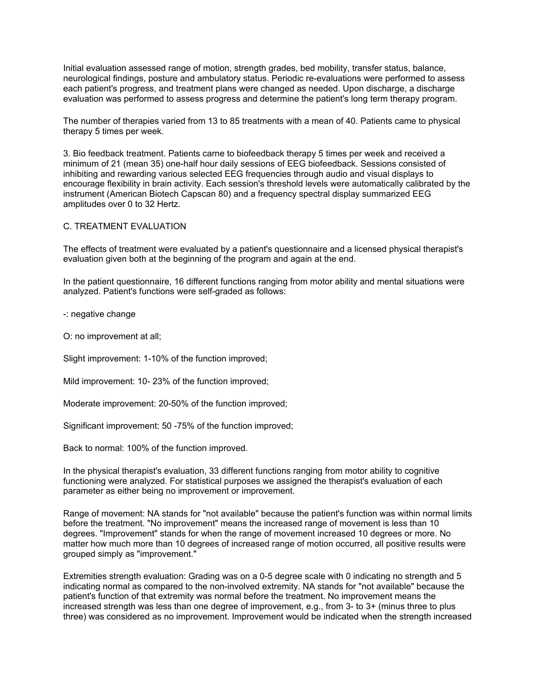Initial evaluation assessed range of motion, strength grades, bed mobility, transfer status, balance, neurological findings, posture and ambulatory status. Periodic re-evaluations were performed to assess each patient's progress, and treatment plans were changed as needed. Upon discharge, a discharge evaluation was performed to assess progress and determine the patient's long term therapy program.

The number of therapies varied from 13 to 85 treatments with a mean of 40. Patients came to physical therapy 5 times per week.

3. Bio feedback treatment. Patients carne to biofeedback therapy 5 times per week and received a minimum of 21 (mean 35) one-half hour daily sessions of EEG biofeedback. Sessions consisted of inhibiting and rewarding various selected EEG frequencies through audio and visual displays to encourage flexibility in brain activity. Each session's threshold levels were automatically calibrated by the instrument (American Biotech Capscan 80) and a frequency spectral display summarized EEG amplitudes over 0 to 32 Hertz.

#### C. TREATMENT EVALUATION

The effects of treatment were evaluated by a patient's questionnaire and a licensed physical therapist's evaluation given both at the beginning of the program and again at the end.

In the patient questionnaire, 16 different functions ranging from motor ability and mental situations were analyzed. Patient's functions were self-graded as follows:

-: negative change

O: no improvement at all;

Slight improvement: 1-10% of the function improved;

Mild improvement: 10- 23% of the function improved;

Moderate improvement: 20-50% of the function improved;

Significant improvement: 50 -75% of the function improved;

Back to normal: 100% of the function improved.

In the physical therapist's evaluation, 33 different functions ranging from motor ability to cognitive functioning were analyzed. For statistical purposes we assigned the therapist's evaluation of each parameter as either being no improvement or improvement.

Range of movement: NA stands for "not available" because the patient's function was within normal limits before the treatment. "No improvement" means the increased range of movement is less than 10 degrees. "Improvement" stands for when the range of movement increased 10 degrees or more. No matter how much more than 10 degrees of increased range of motion occurred, all positive results were grouped simply as "improvement."

Extremities strength evaluation: Grading was on a 0-5 degree scale with 0 indicating no strength and 5 indicating normal as compared to the non-involved extremity. NA stands for "not available" because the patient's function of that extremity was normal before the treatment. No improvement means the increased strength was less than one degree of improvement, e.g., from 3- to 3+ (minus three to plus three) was considered as no improvement. Improvement would be indicated when the strength increased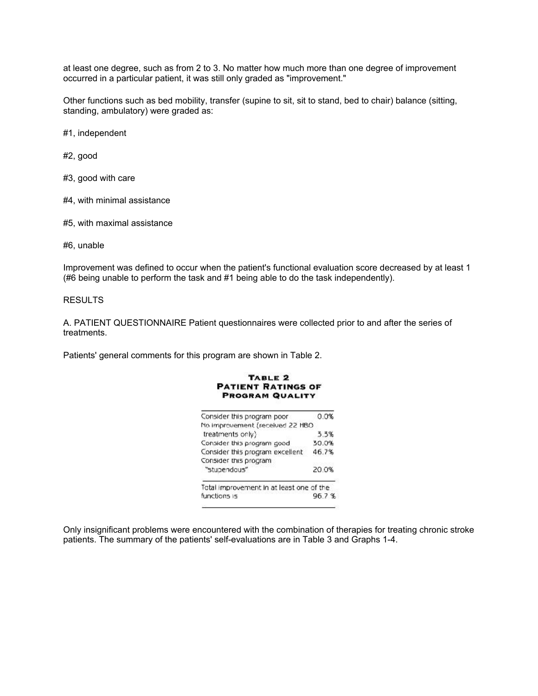at least one degree, such as from 2 to 3. No matter how much more than one degree of improvement occurred in a particular patient, it was still only graded as "improvement."

Other functions such as bed mobility, transfer (supine to sit, sit to stand, bed to chair) balance (sitting, standing, ambulatory) were graded as:

#1, independent

#2, good

#3, good with care

- #4, with minimal assistance
- #5, with maximal assistance

#6, unable

Improvement was defined to occur when the patient's functional evaluation score decreased by at least 1 (#6 being unable to perform the task and #1 being able to do the task independently).

#### RESULTS

A. PATIENT QUESTIONNAIRE Patient questionnaires were collected prior to and after the series of treatments.

Patients' general comments for this program are shown in Table 2.

| PROGRAM QUALITY                          |       |
|------------------------------------------|-------|
| Consider this program poor               | 0.0%  |
| No improvement (received 22 HBO          |       |
| treatments only)                         | 3.3%  |
| Consider this program good               | 30.0% |
| Consider this program excellent          | 46.7% |
| Consider this program                    |       |
| "stupendous"                             | 20.0% |
| Total improvement in at least one of the |       |
| functions is                             | 96.7% |

TABLE<sub>2</sub> **PATIENT RATINGS OF** 

Only insignificant problems were encountered with the combination of therapies for treating chronic stroke patients. The summary of the patients' self-evaluations are in Table 3 and Graphs 1-4.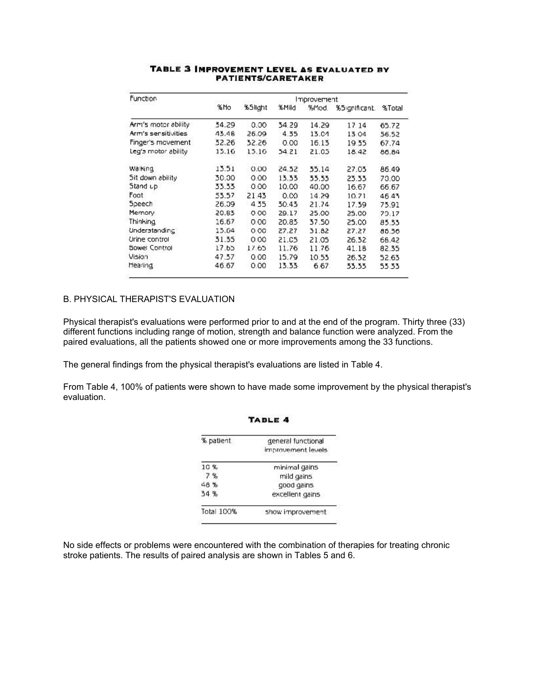| <b>Function</b>     |       |         |       | Improvement |                      |       |
|---------------------|-------|---------|-------|-------------|----------------------|-------|
|                     | % Mo  | %Slight | %Mild | %Mod.       | %5ignificant. %Total |       |
| Arm's motor ability | 54.29 | 0.00.   | 34.29 | 14.29       | 17 14                | 65.72 |
| Arm's sensitivities | 43.48 | 26.09   | 4.35  | 13.C4       | 13.04                | 56.52 |
| Finger's movement   | 52.26 | 32.26   | 0.00  | 16.13       | 19.35                | 67.74 |
| Leg's motor ability | 15.16 | 15.16   | 54.21 | 21.05       | 18.42                | 86.84 |
| Walking             | 13.51 | 0.00    | 24.52 | 35.14       | 27.03                | 86.49 |
| Sit down ability    | 30.00 | 0.00    | 13.33 | 55.55       | 23.33                | 70.00 |
| Stand up            | 33.33 | 0.00    | 10.00 | 40.00       | 16.67                | 66.67 |
| Foot                | 53.57 | 21.43   | 0.00  | 14.29       | 10.71                | 46.43 |
| Speech              | 26.39 | 4.35    | 30.43 | 21.74       | 17.39                | 75.91 |
| Memory              | 20.83 | 0.00    | 29.17 | 25.00       | 25.00                | 79.17 |
| Thinking            | 16.67 | 0.00    | 20.83 | 37.50       | 25.CO                | 85.33 |
| Understanding       | 15.04 | 0.00    | 27.27 | 31.82       | 27.27                | 86.56 |
| Urine control       | 31.55 | 0.00    | 21.C5 | 21.05       | 26.32                | 66.42 |
| Sowe! Control       | 17.65 | 17.65   | 11.76 | 11.76       | 41.18                | 82.35 |
| Vision              | 47.57 | 0.00    | 15.79 | 10.55       | 26.32                | 52.63 |
| Hearing             | 46.67 | 0.00    | 13.33 | 6.67        | 33.33                | 53.33 |

#### TABLE 3 IMPROVEMENT LEVEL AS EVALUATED BY **PATIENTS/CARETAKER**

### B. PHYSICAL THERAPIST'S EVALUATION

Physical therapist's evaluations were performed prior to and at the end of the program. Thirty three (33) different functions including range of motion, strength and balance function were analyzed. From the paired evaluations, all the patients showed one or more improvements among the 33 functions.

The general findings from the physical therapist's evaluations are listed in Table 4.

From Table 4, 100% of patients were shown to have made some improvement by the physical therapist's evaluation.

TABLE 4

| % patient  | general functional<br>improvement levels.<br>minimal gains |  |  |
|------------|------------------------------------------------------------|--|--|
| 10%        |                                                            |  |  |
| 7%         | mild gains                                                 |  |  |
| 48%        | good gains                                                 |  |  |
| 54 %       | excellent gains                                            |  |  |
| Total 100% | show improvement                                           |  |  |

No side effects or problems were encountered with the combination of therapies for treating chronic stroke patients. The results of paired analysis are shown in Tables 5 and 6.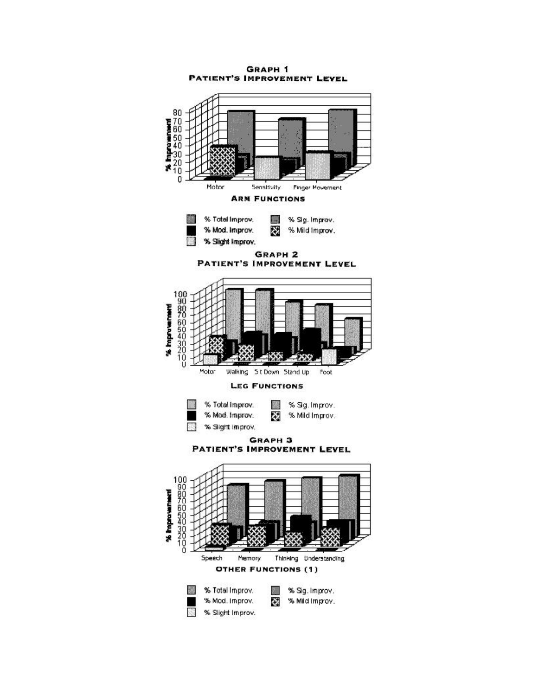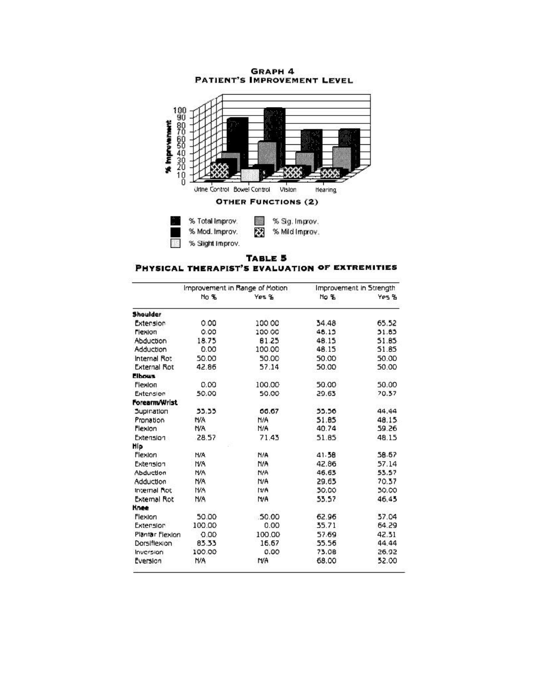

PHYSICAL THERAPIST'S EVALUATION OF EXTREMITIES

|                     | Improvement in Range of Motion |           | Improvement in Strength |       |
|---------------------|--------------------------------|-----------|-------------------------|-------|
|                     | No %                           | Yes %     | No %                    | Yes % |
| <b>Shoulder</b>     |                                |           |                         |       |
| Extension           | 0.00                           | 100.00    | 34.48                   | 65.52 |
| Flexion             | 0.00                           | 100.00    | 48.15                   | 31.83 |
| Abduction           | 18.75                          | 61.25     | 48.15                   | 51.85 |
| Adduction           | 0.00                           | 100.00    | 48.15                   | 51.85 |
| Internal Rot        | 50.00                          | 50.00     | 50.00                   | 50.00 |
| <b>External Rot</b> | 42.86                          | 57.14     | 50.00                   | 50.00 |
| <b>Elbows</b>       |                                |           |                         |       |
| Flexion             | 0.00                           | 100.00    | 50.00                   | 50.00 |
| Extension           | 50.00                          | 50.00     | 29.63                   | 70.57 |
| Forearm/Wrist       |                                |           |                         |       |
| Supination          | 33.33                          | 00.67     | 55.56                   | 44.44 |
| Pronation           | N/A                            | N/A       | 51.85                   | 48.15 |
| Flexion             | NA.                            | N/A       | 40.74                   | 59.26 |
| Extension           | 28.57                          | 7143      | 51.85                   | 48.15 |
| Hip                 |                                |           |                         |       |
| Flexion             | <b>H/A</b>                     | N/A       | 41.58                   | 58.67 |
| Extension           | <b>N/A</b>                     | N/A       | 42.86                   | 57.14 |
| Abduction           | <b>N/A</b>                     | N/A       | 46.63                   | 53.57 |
| Adduction           | N/A                            | N/A       | 29.65                   | 70.57 |
| Internal Not        | <b>N/A</b>                     | ttrA      | 50.00                   | 30.00 |
| <b>External Rot</b> | N/A                            | NA        | 53.57                   | 46.45 |
| Knee                |                                |           |                         |       |
| Flexion             | 50.00                          | 50.00     | 62.96                   | 37.04 |
| Extension           | 100.00                         | 0.00      | 35.71                   | 64.29 |
| Plantar Flexion     | 0.00                           | 100.00    | 57.69                   | 42.31 |
| Dorsiflexion        | 83.33                          | 16.67     | 55.56                   | 44.44 |
| Inversion           | 100.00                         | 0.00      | 73.08                   | 26.92 |
| Eversion            | N/A                            | <b>MA</b> | 68.00                   | 52.00 |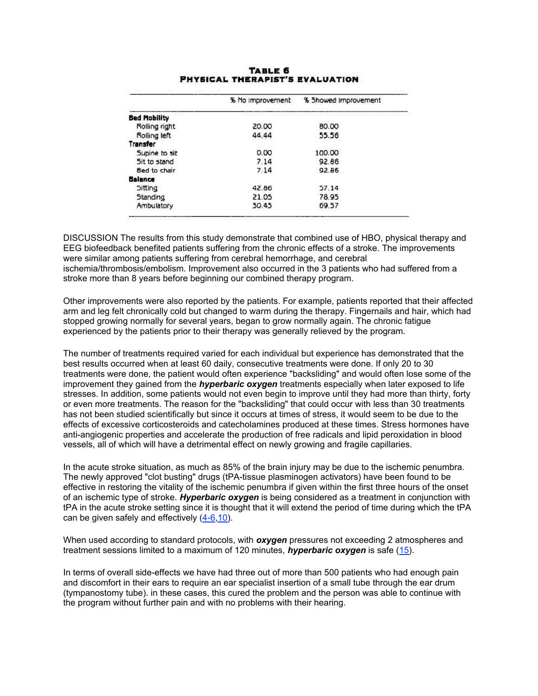|                | % No improvement | % Showed Improvement |
|----------------|------------------|----------------------|
| Bed Mobility   |                  |                      |
| Rolling right  | 20.00            | <b>BD.00</b>         |
| Rolling left   | 44.44            | 55.56                |
| Transfer       |                  |                      |
| Supine to sit  | 0.00             | 100.00               |
| Sit to stand   | 7.14             | 92.86                |
| Bed to chair   | 7.14             | 92.86                |
| <b>Balance</b> |                  |                      |
| <b>Sitting</b> | 42.86            | 57.14                |
| Standing       | 21.05            | 78.95                |
| Ambulatory     | 30.43            | 69.57                |

#### **TABLE 6 PHYSICAL THERAPIST'S EVALUATION**

DISCUSSION The results from this study demonstrate that combined use of HBO, physical therapy and EEG biofeedback benefited patients suffering from the chronic effects of a stroke. The improvements were similar among patients suffering from cerebral hemorrhage, and cerebral ischemia/thrombosis/embolism. Improvement also occurred in the 3 patients who had suffered from a stroke more than 8 years before beginning our combined therapy program.

Other improvements were also reported by the patients. For example, patients reported that their affected arm and leg felt chronically cold but changed to warm during the therapy. Fingernails and hair, which had stopped growing normally for several years, began to grow normally again. The chronic fatigue experienced by the patients prior to their therapy was generally relieved by the program.

The number of treatments required varied for each individual but experience has demonstrated that the best results occurred when at least 60 daily, consecutive treatments were done. If only 20 to 30 treatments were done, the patient would often experience "backsliding" and would often lose some of the improvement they gained from the *hyperbaric oxygen* treatments especially when later exposed to life stresses. In addition, some patients would not even begin to improve until they had more than thirty, forty or even more treatments. The reason for the "backsliding" that could occur with less than 30 treatments has not been studied scientifically but since it occurs at times of stress, it would seem to be due to the effects of excessive corticosteroids and catecholamines produced at these times. Stress hormones have anti-angiogenic properties and accelerate the production of free radicals and lipid peroxidation in blood vessels, all of which will have a detrimental effect on newly growing and fragile capillaries.

In the acute stroke situation, as much as 85% of the brain injury may be due to the ischemic penumbra. The newly approved "clot busting" drugs (tPA-tissue plasminogen activators) have been found to be effective in restoring the vitality of the ischemic penumbra if given within the first three hours of the onset of an ischemic type of stroke. *Hyperbaric oxygen* is being considered as a treatment in conjunction with tPA in the acute stroke setting since it is thought that it will extend the period of time during which the tPA can be given safely and effectively (4-6,10).

When used according to standard protocols, with *oxygen* pressures not exceeding 2 atmospheres and treatment sessions limited to a maximum of 120 minutes, *hyperbaric oxygen* is safe (15).

In terms of overall side-effects we have had three out of more than 500 patients who had enough pain and discomfort in their ears to require an ear specialist insertion of a small tube through the ear drum (tympanostomy tube). in these cases, this cured the problem and the person was able to continue with the program without further pain and with no problems with their hearing.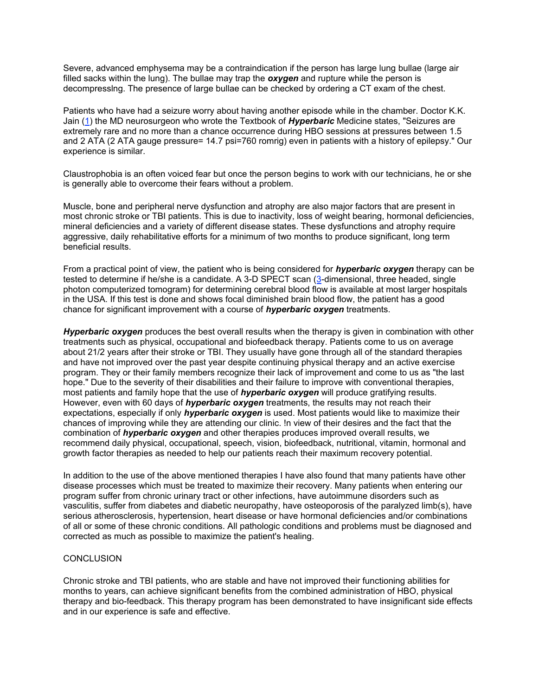Severe, advanced emphysema may be a contraindication if the person has large lung bullae (large air filled sacks within the lung). The bullae may trap the *oxygen* and rupture while the person is decompresslng. The presence of large bullae can be checked by ordering a CT exam of the chest.

Patients who have had a seizure worry about having another episode while in the chamber. Doctor K.K. Jain (1) the MD neurosurgeon who wrote the Textbook of *Hyperbaric* Medicine states, "Seizures are extremely rare and no more than a chance occurrence during HBO sessions at pressures between 1.5 and 2 ATA (2 ATA gauge pressure= 14.7 psi=760 romrig) even in patients with a history of epilepsy." Our experience is similar.

Claustrophobia is an often voiced fear but once the person begins to work with our technicians, he or she is generally able to overcome their fears without a problem.

Muscle, bone and peripheral nerve dysfunction and atrophy are also major factors that are present in most chronic stroke or TBI patients. This is due to inactivity, loss of weight bearing, hormonal deficiencies, mineral deficiencies and a variety of different disease states. These dysfunctions and atrophy require aggressive, daily rehabilitative efforts for a minimum of two months to produce significant, long term beneficial results.

From a practical point of view, the patient who is being considered for *hyperbaric oxygen* therapy can be tested to determine if he/she is a candidate. A 3-D SPECT scan (3-dimensional, three headed, single photon computerized tomogram) for determining cerebral blood flow is available at most larger hospitals in the USA. If this test is done and shows focal diminished brain blood flow, the patient has a good chance for significant improvement with a course of *hyperbaric oxygen* treatments.

*Hyperbaric oxygen* produces the best overall results when the therapy is given in combination with other treatments such as physical, occupational and biofeedback therapy. Patients come to us on average about 21/2 years after their stroke or TBI. They usually have gone through all of the standard therapies and have not improved over the past year despite continuing physical therapy and an active exercise program. They or their family members recognize their lack of improvement and come to us as "the last hope." Due to the severity of their disabilities and their failure to improve with conventional therapies, most patients and family hope that the use of *hyperbaric oxygen* will produce gratifying results. However, even with 60 days of *hyperbaric oxygen* treatments, the results may not reach their expectations, especially if only *hyperbaric oxygen* is used. Most patients would like to maximize their chances of improving while they are attending our clinic. !n view of their desires and the fact that the combination of *hyperbaric oxygen* and other therapies produces improved overall results, we recommend daily physical, occupational, speech, vision, biofeedback, nutritional, vitamin, hormonal and growth factor therapies as needed to help our patients reach their maximum recovery potential.

In addition to the use of the above mentioned therapies I have also found that many patients have other disease processes which must be treated to maximize their recovery. Many patients when entering our program suffer from chronic urinary tract or other infections, have autoimmune disorders such as vasculitis, suffer from diabetes and diabetic neuropathy, have osteoporosis of the paralyzed limb(s), have serious atherosclerosis, hypertension, heart disease or have hormonal deficiencies and/or combinations of all or some of these chronic conditions. All pathologic conditions and problems must be diagnosed and corrected as much as possible to maximize the patient's healing.

#### **CONCLUSION**

Chronic stroke and TBI patients, who are stable and have not improved their functioning abilities for months to years, can achieve significant benefits from the combined administration of HBO, physical therapy and bio-feedback. This therapy program has been demonstrated to have insignificant side effects and in our experience is safe and effective.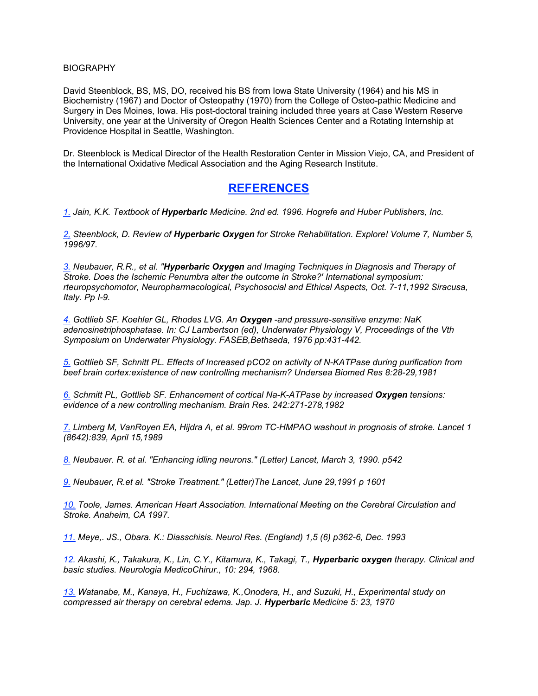#### **BIOGRAPHY**

David Steenblock, BS, MS, DO, received his BS from Iowa State University (1964) and his MS in Biochemistry (1967) and Doctor of Osteopathy (1970) from the College of Osteo-pathic Medicine and Surgery in Des Moines, Iowa. His post-doctoral training included three years at Case Western Reserve University, one year at the University of Oregon Health Sciences Center and a Rotating Internship at Providence Hospital in Seattle, Washington.

Dr. Steenblock is Medical Director of the Health Restoration Center in Mission Viejo, CA, and President of the International Oxidative Medical Association and the Aging Research Institute.

## **REFERENCES**

*1. Jain, K.K. Textbook of Hyperbaric Medicine. 2nd ed. 1996. Hogrefe and Huber Publishers, Inc.*

*2, Steenblock, D. Review of Hyperbaric Oxygen for Stroke Rehabilitation. Explore! Volume 7, Number 5, 1996/97.*

*3. Neubauer, R.R., et al. "Hyperbaric Oxygen and Imaging Techniques in Diagnosis and Therapy of Stroke. Does the Ischemic Penumbra alter the outcome in Stroke?' International symposium: rteuropsychomotor, Neuropharmacological, Psychosocial and Ethical Aspects, Oct. 7-11,1992 Siracusa, Italy. Pp I-9.*

*4. Gottlieb SF. Koehler GL, Rhodes LVG. An Oxygen -and pressure-sensitive enzyme: NaK adenosinetriphosphatase. In: CJ Lambertson (ed), Underwater Physiology V, Proceedings of the Vth Symposium on Underwater Physiology. FASEB,Bethseda, 1976 pp:431-442.*

*5. Gottlieb SF, Schnitt PL. Effects of Increased pCO2 on activity of N-KATPase during purification from beef brain cortex:existence of new controlling mechanism? Undersea Biomed Res 8:28-29,1981*

*6. Schmitt PL, Gottlieb SF. Enhancement of cortical Na-K-ATPase by increased Oxygen tensions: evidence of a new controlling mechanism. Brain Res. 242:271-278,1982*

*7. Limberg M, VanRoyen EA, Hijdra A, et al. 99rom TC-HMPAO washout in prognosis of stroke. Lancet 1 (8642):839, April 15,1989*

*8. Neubauer. R. et al. "Enhancing idling neurons." (Letter) Lancet, March 3, 1990. p542*

*9. Neubauer, R.et al. "Stroke Treatment." (Letter)The Lancet, June 29,1991 p 1601*

*10. Toole, James. American Heart Association. International Meeting on the Cerebral Circulation and Stroke. Anaheim, CA 1997.*

*11. Meye,. JS., Obara. K.: Diasschisis. Neurol Res. (England) 1,5 (6) p362-6, Dec. 1993*

*12. Akashi, K., Takakura, K., Lin, C.Y., Kitamura, K., Takagi, T., Hyperbaric oxygen therapy. Clinical and basic studies. Neurologia MedicoChirur., 10: 294, 1968.*

*13. Watanabe, M., Kanaya, H., Fuchizawa, K.,Onodera, H., and Suzuki, H., Experimental study on compressed air therapy on cerebral edema. Jap. J. Hyperbaric Medicine 5: 23, 1970*